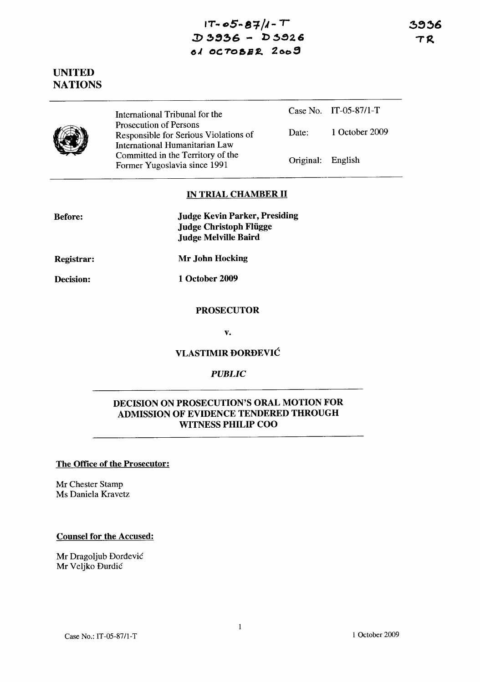# $1T - 05 - 87/1 - T$  $D 3936 - D 3926$ 0.( Oc: *TO &B* **£ 2** G(:)::t

3936 TR

# UNITED **NATIONS**



International Tribunal for the Prosecution of Persons Responsible for Serious Violations of International Humanitarian Law Committed in the Territory of the Former Yugoslavia since 1991

Case No. IT-05-87/I-T Date: 1 October 2009

Original: English

### IN TRIAL CHAMBER II

Judge Kevin Parker, Presiding Judge Christoph Fliigge Judge Melville Baird

Registrar:

Decision:

Mr John Hocking

1 October 2009

#### **PROSECUTOR**

v.

## VLASTIMIR DORDEVIC

## *PUBLIC*

## DECISION ON PROSECUTION'S ORAL MOTION FOR ADMISSION OF EVIDENCE TENDERED THROUGH WITNESS PHILIP COO

#### The Office of the Prosecutor:

Mr Chester Stamp Ms Daniela Kravetz

### Counsel for the Accused:

Mr Dragoljub Dordevic Mr Veljko Durdic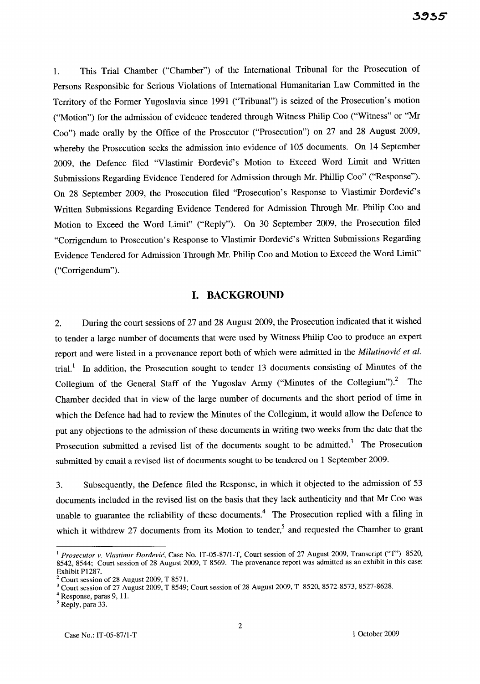1. This Trial Chamber ("Chamber") of the International Tribunal for the Prosecution of Persons Responsible for Serious Violations of International Humanitarian Law Committed in the Territory of the Former Yugoslavia since 1991 ("Tribunal") is seized of the Prosecution's motion ("Motion") for the admission of evidence tendered through Witness Philip Coo ("Witness" or "Mr Coo") made orally by the Office of the Prosecutor ("Prosecution") on 27 and 28 August 2009, whereby the Prosecution seeks the admission into evidence of 105 documents. On 14 September 2009, the Defence filed "Vlastimir Dordevic's Motion to Exceed Word Limit and Written Submissions Regarding Evidence Tendered for Admission through Mr. Phillip Coo" ("Response"). On 28 September 2009, the Prosecution filed "Prosecution's Response to Vlastimir Dordevic's Written Submissions Regarding Evidence Tendered for Admission Through Mr. Philip Coo and Motion to Exceed the Word Limit" ("Reply"). On 30 September 2009, the Prosecution filed "Corrigendum to Prosecution's Response to Vlastimir Dordevic's Written Submissions Regarding Evidence Tendered for Admission Through Mr. Philip Coo and Motion to Exceed the Word Limit" ("Corrigendum").

### **I. BACKGROUND**

2. During the court sessions of 27 and 28 August 2009, the Prosecution indicated that it wished to tender a large number of documents that were used by Witness Philip Coo to produce an expert report and were listed in a provenance report both of which were admitted in the *Milutinovic et al.*  trial.<sup>1</sup> In addition, the Prosecution sought to tender 13 documents consisting of Minutes of the Collegium of the General Staff of the Yugoslav Army ("Minutes of the Collegium")? The Chamber decided that in view of the large number of documents and the short period of time in which the Defence had had to review the Minutes of the Collegium, it would allow the Defence to put any objections to the admission of these documents in writing two weeks from the date that the Prosecution submitted a revised list of the documents sought to be admitted.<sup>3</sup> The Prosecution submitted by email a revised list of documents sought to be tendered on 1 September 2009.

3. Subsequently, the Defence filed the Response, in which it objected to the admission of 53 documents included in the revised list on the basis that they lack authenticity and that Mr Coo was unable to guarantee the reliability of these documents.<sup>4</sup> The Prosecution replied with a filing in which it withdrew 27 documents from its Motion to tender,<sup>5</sup> and requested the Chamber to grant

<sup>I</sup>*Prosecutor* v. *Vlastimir Dordevic,* Case No. IT-05-8711-T, Court session of 27 August 2009, Transcript ("T") 8520, 8542, 8544; Court session of 28 August 2009, T 8569. The provenance report was admitted as an exhibit in this case: Exhibit P1287.

<sup>2</sup>Court session of 28 August 2009, T 8571.

<sup>3</sup>Court session of 27 August 2009, T 8549; Court session of 28 August 2009, T 8520,8572-8573,8527-8628.

<sup>4</sup> Response, paras 9, 11.

 $<sup>5</sup>$  Reply, para 33.</sup>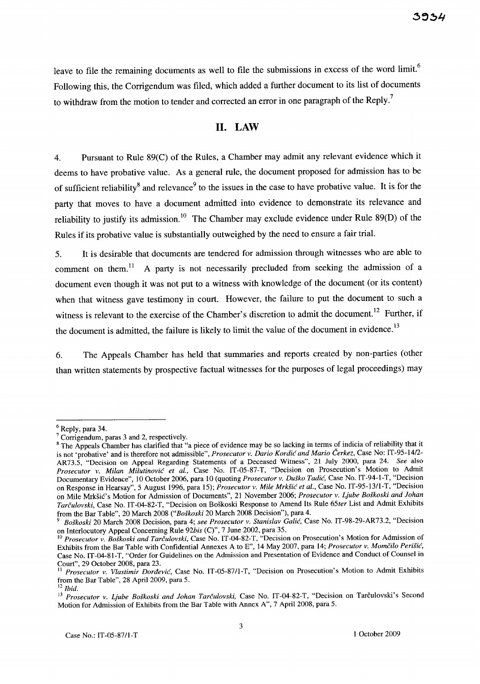leave to file the remaining documents as well to file the submissions in excess of the word limit.<sup>6</sup> Following this, the Corrigendum was filed, which added a further document to its list of documents to withdraw from the motion to tender and corrected an error in one paragraph of the Reply.<sup>7</sup>

### **11. LAW**

4. Pursuant to Rule 89(C) of the Rules, a Chamber may admit any relevant evidence which it deems to have probative value. As a general rule, the document proposed for admission has to be of sufficient reliability<sup>8</sup> and relevance<sup>9</sup> to the issues in the case to have probative value. It is for the party that moves to have a document admitted into evidence to demonstrate its relevance and reliability to justify its admission.<sup>10</sup> The Chamber may exclude evidence under Rule 89(D) of the Rules if its probative value is substantially outweighed by the need to ensure a fair trial.

5. It is desirable that documents are tendered for admission through witnesses who are able to comment on them.<sup>11</sup> A party is not necessarily precluded from seeking the admission of a document even though it was not put to a witness with knowledge of the document (or its content) when that witness gave testimony in court. However, the failure to put the document to such a witness is relevant to the exercise of the Chamber's discretion to admit the document.<sup>12</sup> Further, if the document is admitted, the failure is likely to limit the value of the document in evidence.<sup>13</sup>

6. The Appeals Chamber has held that summaries and reports created by non-parties (other than written statements by prospective factual witnesses for the purposes of legal proceedings) may

 $6$  Reply, para 34.

<sup>&</sup>lt;sup>7</sup> Corrigendum, paras 3 and 2, respectively.

<sup>&</sup>lt;sup>8</sup> The Appeals Chamber has clarified that "a piece of evidence may be so lacking in terms of indicia of reliability that it is not 'probative' and is therefore not admissible", *Prosecutor v. Dario Kordic and Mario Cerkez,* Case No: IT *-9S-1412-* AR73.S, "Decision on Appeal Regarding Statements of a Deceased Witness", 21 July 2000, para 24. *See* also *Prosecutor v. Milan Milutinovic et aI.,* Case No. IT-OS-S7-T, "Decision on Prosecution's Motion to Admit Documentary Evidence", 10 October 2006, para 10 (quoting *Prosecutor v. Duško Tadić*, Case No. IT-94-1-T, "Decision on Response in Hearsay", S August 1996, para *IS); Prosecutor v. Mile MrkSic et al.,* Case No. IT-9S-13/1-T, "Decision on Mile MrkSic's Motion for Admission of Documents", 21 November 2006; *Prosecutor v. Ljube Boskoski and lohan Tarculovski,* Case No. IT -04-S2-T, "Decision on Boskoski Response to Amend Its Rule *6Ster* List and Admit Exhibits from the Bar Table", 20 March 200S *("Boskoski* 20 March 200S Decision"), para 4.

*<sup>9</sup> Boskoski* 20 March 200S Decision, para 4; *see Prosecutor v. Stanislav Calic,* Case No. IT-9S-29-AR73.2, "Decision on Interlocutory Appeal Concerning Rule *92bis* (C)", 7 June 2002, para *3S.* 

<sup>10</sup>*Prosecutor v. Boskoski and Tarculovski,* Case No. IT-04-S2-T, "Decision on Prosecution's Motion for Admission of Exhibits from the Bar Table with Confidential Annexes A to E", 14 May 2007, para 14; *Prosecutor v. Momcilo Perisic,*  Case No. IT -04-S1-T, "Order for Guidelines on the Admission and Presentation of Evidence and Conduct of Counsel in Court", 29 October 2008, para 23.

<sup>11</sup>*Prosecutor v. Vlastimir Dordevic,* Case No. IT-OS-S711-T, "Decision on Prosecution's Motion to Admit Exhibits from the Bar Table", 28 April 2009, para 5.

 $12$ *Ibid.* 

<sup>&</sup>lt;sup>13</sup> Prosecutor v. Ljube Boškoski and Johan Tarčulovski, Case No. IT-04-82-T, "Decision on Tarčulovski's Second Motion for Admission of Exhibits from the Bar Table with Annex A", 7 April 2008, para 5.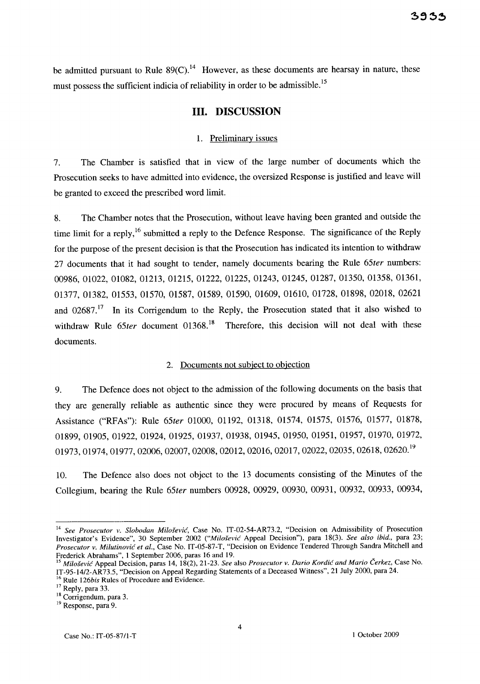be admitted pursuant to Rule  $89(C)$ .<sup>14</sup> However, as these documents are hearsay in nature, these must possess the sufficient indicia of reliability in order to be admissible.<sup>15</sup>

## **Ill. DISCUSSION**

#### 1. Preliminary issues

7. The Chamber is satisfied that in view of the large number of documents which the Prosecution seeks to have admitted into evidence, the oversized Response is justified and leave will be granted to exceed the prescribed word limit.

8. The Chamber notes that the Prosecution, without leave having been granted and outside the time limit for a reply,<sup>16</sup> submitted a reply to the Defence Response. The significance of the Reply for the purpose of the present decision is that the Prosecution has indicated its intention to withdraw 27 documents that it had sought to tender, namely documents bearing the Rule *65ter* numbers: 00986, 01022, 01082, 01213, 01215, 01222, 01225, 01243, 01245, 01287, 01350, 01358, 01361, 01377, 01382, 01553, 01570, 01587, 01589, 01590, 01609, 01610, 01728, 01898, 02018, 02621 and  $02687$ .<sup>17</sup> In its Corrigendum to the Reply, the Prosecution stated that it also wished to withdraw Rule 65ter document 01368.<sup>18</sup> Therefore, this decision will not deal with these documents.

#### 2. Documents not subject to objection

9. The Defence does not object to the admission of the following documents on the basis that they are generally reliable as authentic since they were procured by means of Requests for Assistance ("RFAs"): Rule *65ter* 01000, 01192, 01318, 01574, 01575, 01576, 01577, 01878, 01899, 01905, 01922, 01924, 01925, 01937, 01938, 01945, 01950, 01951, 01957, 01970, 01972, 01973, 01974, 01977, 02006, 02007, 02008, 02012, 02016, 02017, 02022, 02035, 02618, 02620. <sup>19</sup>

10. The Defence also does not object to the 13 documents consisting of the Minutes of the Collegium, bearing the Rule *65ter* numbers 00928, 00929, 00930, 00931, 00932, 00933, 00934,

<sup>14</sup>*See Prosecutor* v. *Slobodan Milosevic,* Case No. IT-02-S4-AR73.2, "Decision on Admissibility of Prosecution Investigator's Evidence", 30 September 2002 *("Milosevic* Appeal Decision"), para 18(3). *See also ibid.,* para 23; *Prosecutor* v. *Milutinovic et aI.,* Case No. IT-OS-87-T, "Decision on Evidence Tendered Through Sandra Mitchell and Frederick Abrahams", 1 September 2006, paras 16 and 19.

*<sup>15</sup> Milosevic* Appeal Decision, paras 14, 18(2),21-23. *See* also *Prosecutor* v. *Dario Kordic and Mario Cerkez,* Case No. IT-9S-14/2-AR73.S, "Decision on Appeal Regarding Statements of a Deceased Witness", 21 July 2000, para 24.

<sup>16</sup> Rule *126bis* Rules of Procedure and Evidence.

 $17$  Reply, para 33.

<sup>&</sup>lt;sup>18</sup> Corrigendum, para 3.

<sup>&</sup>lt;sup>19</sup> Response, para 9.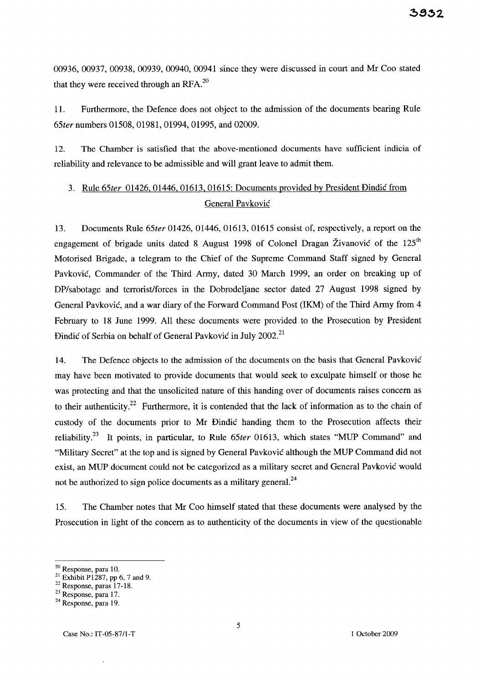00936, 00937, 00938, 00939, 00940, 00941 since they were discussed in court and Mr Coo stated that they were received through an RFA. $^{20}$ 

11. Furthermore, the Defence does not object to the admission of the documents bearing Rule *65ternumbers* 01508, 01981, 01994, 01995, and 02009.

12. The Chamber is satisfied that the above-mentioned documents have sufficient indicia of reliability and relevance to be admissible and will grant leave to admit them.

# 3. Rule *65ter* 01426,01446, 01613, 01615: Documents provided by President Dindic from General Pavkovic

13. Documents Rule *65ter* 01426, 01446, 01613, 01615 consist of, respectively, a report on the engagement of brigade units dated 8 August 1998 of Colonel Dragan Živanović of the 125<sup>th</sup> Motorised Brigade, a telegram to the Chief of the Supreme Command Staff signed by General Pavkovic, Commander of the Third Army, dated 30 March 1999, an order on breaking up of DP/sabotage and terrorist/forces in the Dobrodeljane sector dated 27 August 1998 signed by General Pavkovic, and a war diary of the Forward Command Post (IKM) of the Third Army from 4 February to 18 June 1999. All these documents were provided to the Prosecution by President Dindić of Serbia on behalf of General Pavković in July 2002.<sup>21</sup>

14. The Defence objects to the admission of the documents on the basis that General Pavkovic may have been motivated to provide documents that would seek to exculpate himself or those he was protecting and that the unsolicited nature of this handing over of documents raises concern as to their authenticity.<sup>22</sup> Furthermore, it is contended that the lack of information as to the chain of custody of the documents prior to Mr Dindic handing them to the Prosecution affects their reliability.23 It points, in particular, to Rule *65ter* 01613, which states "MUP Command" and "Military Secret" at the top and is signed by General Pavkovic although the MUP Command did not exist, an MUP document could not be categorized as a military secret and General Pavkovic would not be authorized to sign police documents as a military general. $^{24}$ 

15. The Chamber notes that Mr Coo himself stated that these documents were analysed by the Prosecution in light of the concern as to authenticity of the documents in view of the questionable

 $20$  Response, para 10.

<sup>&</sup>lt;sup>21</sup> Exhibit P1287, pp 6, 7 and 9.

 $22$  Response, paras 17-18.

<sup>23</sup> Response, para 17.

<sup>&</sup>lt;sup>24</sup> Response, para 19.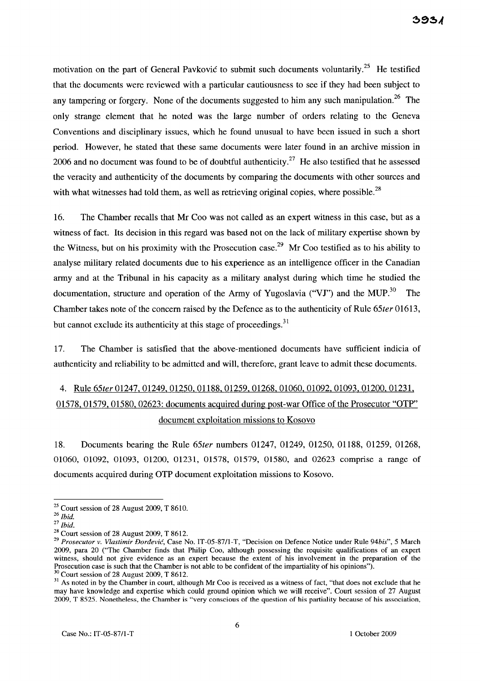motivation on the part of General Pavković to submit such documents voluntarily.<sup>25</sup> He testified that the documents were reviewed with a particular cautiousness to see if they had been subject to any tampering or forgery. None of the documents suggested to him any such manipulation.<sup>26</sup> The only strange element that he noted was the large number of orders relating to the Geneva Conventions and disciplinary issues, which he found unusual to have been issued in such a short period. However, he stated that these same documents were later found in an archive mission in 2006 and no document was found to be of doubtful authenticity.<sup>27</sup> He also testified that he assessed the veracity and authenticity of the documents by comparing the documents with other sources and with what witnesses had told them, as well as retrieving original copies, where possible.<sup>28</sup>

16. The Chamber recalls that Mr Coo was not called as an expert witness in this case, but as a witness of fact. Its decision in this regard was based not on the lack of military expertise shown by the Witness, but on his proximity with the Prosecution case.<sup>29</sup> Mr Coo testified as to his ability to analyse military related documents due to his experience as an intelligence officer in the Canadian army and at the Tribunal in his capacity as a military analyst during which time he studied the documentation, structure and operation of the Army of Yugoslavia ("VJ") and the MUP.<sup>30</sup> The Chamber takes note of the concern raised by the Defence as to the authenticity of Rule *65ter* 016l3, but cannot exclude its authenticity at this stage of proceedings.<sup>31</sup>

17. The Chamber is satisfied that the above-mentioned documents have sufficient indicia of authenticity and reliability to be admitted and will, therefore, grant leave to admit these documents.

# 4. Rule *65ter* 01247,01249,01250,01188,01259,01268,01060,01092, 01093, 01200, 01231, 01578,01579,01580,02623: documents acquired during post-war Office of the Prosecutor "OTP" document exploitation missions to Kosovo

18. Documents bearing the Rule *65ter* numbers 01247, 01249, 01250, 01188, 01259, 01268, 01060, 01092, 01093, 01200, 01231, 01578, 01579, 01580, and 02623 comprise a range of documents acquired during OTP document exploitation missions to Kosovo.

 $25$  Court session of 28 August 2009, T 8610.

*<sup>26</sup> Ibid.* 

*<sup>27</sup> Ibid.* 

 $28$  Court session of 28 August 2009, T 8612.

*<sup>29</sup> Prosecutor* v. *Vlastimir Dordevic,* Case No. IT-05-87/l-T, "Decision on Defence Notice under Rule *94bis",* 5 March 2009, para 20 ("The Chamber finds that Philip Coo, although possessing the requisite qualifications of an expert witness, should not give evidence as an expert because the extent of his involvement in the preparation of the Prosecution case is such that the Chamber is not able to be confident of the impartiality of his opinions"). <sup>30</sup> Court session of 28 August 2009, T 8612.

<sup>&</sup>lt;sup>31</sup> As noted in by the Chamber in court, although Mr Coo is received as a witness of fact, "that does not exclude that he may have knowledge and expertise which could ground opinion which we will receive". Court session of 27 August 2009, T 8525. Nonetheless, the Chamber is "very conscious of the question of his partiality because of his association,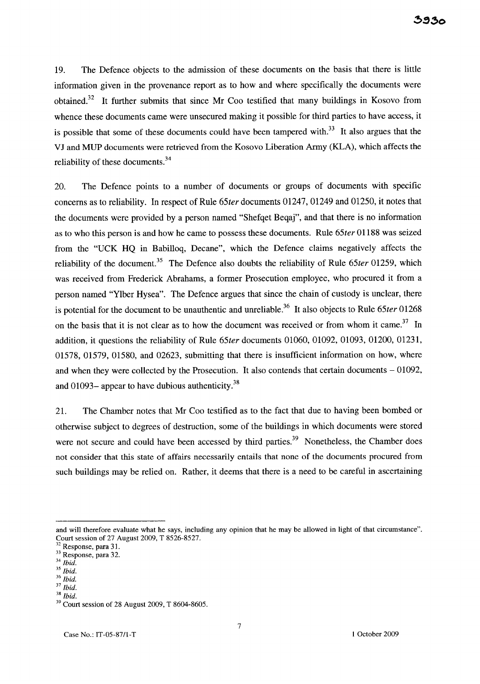19. The Defence objects to the admission of these documents on the basis that there is little information given in the provenance report as to how and where specifically the documents were obtained.<sup>32</sup> It further submits that since Mr Coo testified that many buildings in Kosovo from whence these documents came were unsecured making it possible for third parties to have access, it is possible that some of these documents could have been tampered with.<sup>33</sup> It also argues that the VJ and MUP documents were retrieved from the Kosovo Liberation Army (KLA), which affects the reliability of these documents. $34$ 

20. The Defence points to a number of documents or groups of documents with specific concerns as to reliability. In respect of Rule *65ter* documents 01247, 01249 and 01250, it notes that the documents were provided by a person named "Shefqet Beqaj", and that there is no information as to who this person is and how he came to possess these documents. Rule *65ter* 01188 was seized from the "UCK HQ in Babilloq, Decane", which the Defence claims negatively affects the reliability of the document.<sup>35</sup> The Defence also doubts the reliability of Rule 65ter 01259, which was received from Frederick Abrahams, a former Prosecution employee, who procured it from a person named "Ylber Hysea". The Defence argues that since the chain of custody is unclear, there is potential for the document to be unauthentic and unreliable.<sup>36</sup> It also objects to Rule 65ter 01268 on the basis that it is not clear as to how the document was received or from whom it came.<sup>37</sup> In addition, it questions the reliability of Rule *65ter* documents 01060, 01092, 01093, 01200, 01231, 01578, 01579, 01580, and 02623, submitting that there is insufficient information on how, where and when they were collected by the Prosecution. It also contends that certain documents - 01092, and 01093- appear to have dubious authenticity. $38$ 

21. The Chamber notes that Mr Coo testified as to the fact that due to having been bombed or otherwise subject to degrees of destruction, some of the buildings in which documents were stored were not secure and could have been accessed by third parties.<sup>39</sup> Nonetheless, the Chamber does not consider that this state of affairs necessarily entails that none of the documents procured from such buildings may be relied on. Rather, it deems that there is a need to be careful in ascertaining

and will therefore evaluate what he says, induding any opinion that he may be allowed in light of that circumstance". Court session of 27 August 2009, T 8526-8527.

Response, para 31.

<sup>33</sup> Response, para 32.

*<sup>34</sup> Ibid.* 

*<sup>35</sup> Ibid.* 

<sup>36</sup>*Ibid.*  <sup>37</sup>*Ibid.* 

<sup>38</sup>*Ibid.* 

 $39$  Court session of 28 August 2009, T 8604-8605.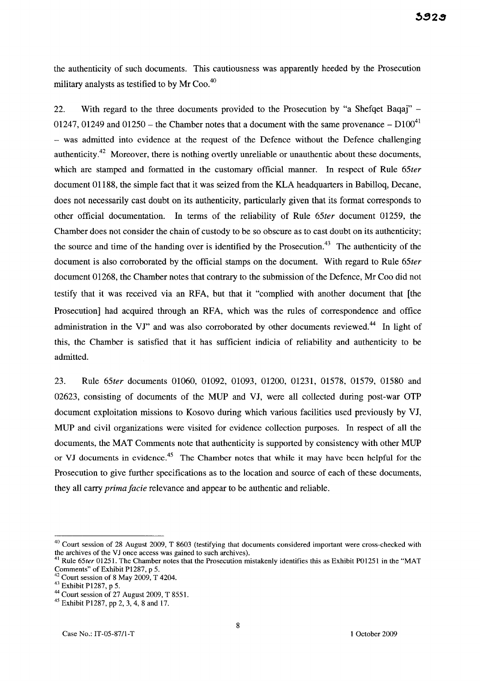the authenticity of such documents. This cautiousness was apparently heeded by the Prosecution military analysts as testified to by Mr Coo.<sup>40</sup>

22. With regard to the three documents provided to the Prosecution by "a Shefqet Baqaj" - 01247, 01249 and 01250 – the Chamber notes that a document with the same provenance  $-$  D100<sup>41</sup> - was admitted into evidence at the request of the Defence without the Defence challenging authenticity.<sup>42</sup> Moreover, there is nothing overtly unreliable or unauthentic about these documents, which are stamped and formatted in the customary official manner. In respect of Rule *65ter*  document 01188, the simple fact that it was seized from the KLA headquarters in Babilloq, Decane, does not necessarily cast doubt on its authenticity, particularly given that its format corresponds to other official documentation. In terms of the reliability of Rule *65ter* document 01259, the Chamber does not consider the chain of custody to be so obscure as to cast doubt on its authenticity; the source and time of the handing over is identified by the Prosecution.<sup>43</sup> The authenticity of the document is also corroborated by the official stamps on the document. With regard to Rule *65ter*  document 01268, the Chamber notes that contrary to the submission of the Defence, Mr Coo did not testify that it was received via an RFA, but that it "complied with another document that [the Prosecution] had acquired through an RFA, which was the rules of correspondence and office administration in the VJ" and was also corroborated by other documents reviewed.<sup>44</sup> In light of this, the Chamber is satisfied that it has sufficient indicia of reliability and authenticity to be admitted.

23. Rule *65ter* documents 01060, 01092, 01093, 01200, 01231, 01578, 01579, 01580 and 02623, consisting of documents of the MUP and VJ, were all collected during post-war OTP document exploitation missions to Kosovo during which various facilities used previously by VJ, MUP and civil organizations were visited for evidence collection purposes. In respect of all the documents, the MAT Comments note that authenticity is supported by consistency with other MUP or VJ documents in evidence.<sup>45</sup> The Chamber notes that while it may have been helpful for the Prosecution to give further specifications as to the location and source of each of these documents, they all carry *prima facie* relevance and appear to be authentic and reliable.

 $40$  Court session of 28 August 2009, T 8603 (testifying that documents considered important were cross-checked with the archives of the VJ once access was gained to such archives).

<sup>&</sup>lt;sup>41</sup> Rule  $65$ ter 01251. The Chamber notes that the Prosecution mistakenly identifies this as Exhibit P01251 in the "MAT Comments" of Exhibit P1287, p 5.

 $2^2$  Court session of 8 May 2009, T 4204.

<sup>43</sup> Exhibit P1287, p 5.

<sup>44</sup> Court session of 27 August 2009, T 8551.

<sup>&</sup>lt;sup>45</sup> Exhibit P1287, pp 2, 3, 4, 8 and 17.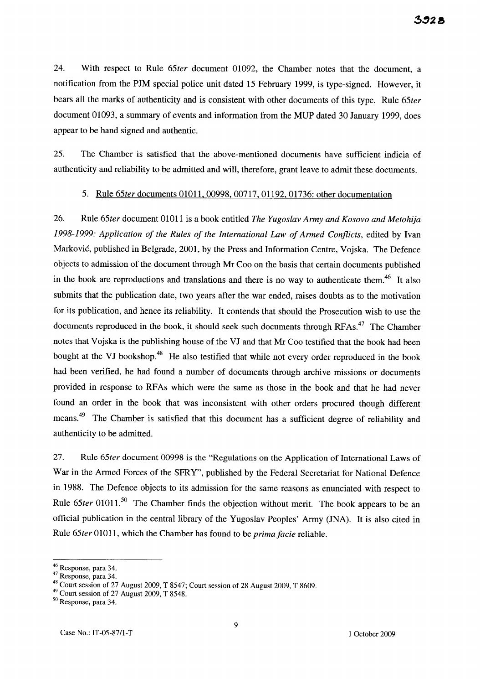24. With respect to Rule *65ter* document 01092, the Chamber notes that the document, a notification from the PJM special police unit dated 15 February 1999, is type-signed. However, it bears all the marks of authenticity and is consistent with other documents of this type. Rule *65ter*  document 01093, a summary of events and information from the MUP dated 30 January 1999, does appear to be hand signed and authentic.

25. The Chamber is satisfied that the above-mentioned documents have sufficient indicia of authenticity and reliability to be admitted and will, therefore, grant leave to admit these documents.

#### 5. Rule *65ter* documents 01O11, 00998, 00717, 01l92, 01736: other documentation

26. Rule *65ter* document 01011 is a book entitled *The Yugoslav Army and Kosovo and Metohija*  1998-1999: Application of the Rules of the International Law of Armed Conflicts, edited by Ivan Markovic, published in Belgrade, 2001, by the Press and Information Centre, Vojska. The Defence objects to admission of the document through Mr Coo on the basis that certain documents published in the book are reproductions and translations and there is no way to authenticate them.<sup>46</sup> It also submits that the publication date, two years after the war ended, raises doubts as to the motivation for its publication, and hence its reliability. It contends that should the Prosecution wish to use the documents reproduced in the book, it should seek such documents through RFAs.<sup>47</sup> The Chamber notes that Vojska is the publishing house of the VJ and that Mr Coo testified that the book had been bought at the VJ bookshop.<sup>48</sup> He also testified that while not every order reproduced in the book had been verified, he had found a number of documents through archive missions or documents provided in response to RF As which were the same as those in the book and that he had never found an order in the book that was inconsistent with other orders procured though different means.<sup>49</sup> The Chamber is satisfied that this document has a sufficient degree of reliability and authenticity to be admitted.

27. Rule *65ter* document 00998 is the "Regulations on the Application of International Laws of War in the Armed Forces of the SFRY", published by the Federal Secretariat for National Defence in 1988. The Defence objects to its admission for the same reasons as enunciated with respect to Rule 65ter 01011.<sup>50</sup> The Chamber finds the objection without merit. The book appears to be an official publication in the central library of the Yugoslav Peoples' Army UNA). It is also cited in Rule *65ter* 01011, which the Chamber has found to be *prima facie* reliable.

<sup>&</sup>lt;sup>46</sup> Response, para 34.

<sup>47</sup> Response, para 34.

<sup>48</sup> Court session of 27 August 2009, T 8547; Court session of 28 August 2009, T 8609.

<sup>49</sup> Court session of 27 August 2009, T 8548.

<sup>50</sup> Response, para 34.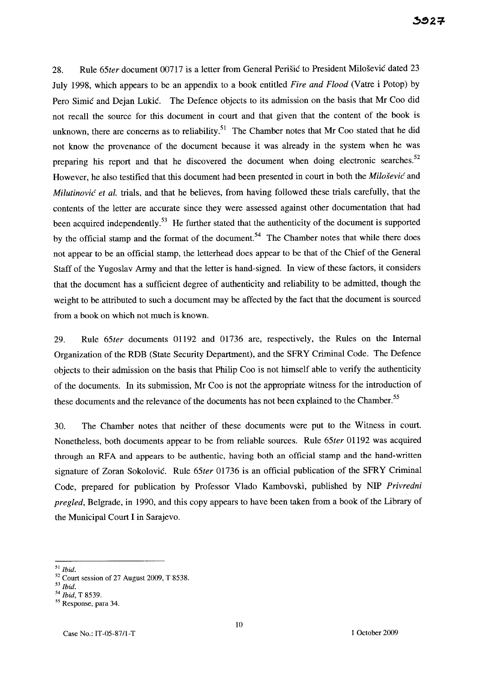28. Rule *65ter* document 00717 is a letter from General Perisic to President Milosevic dated 23 July 1998, which appears to be an appendix to a book entitled *Fire and Flood* (Vatre i Potop) by Pero Simic and Dejan Lukic. The Defence objects to its admission on the basis that Mr Coo did not recall the source for this document in court and that given that the content of the book is unknown, there are concerns as to reliability.<sup>51</sup> The Chamber notes that Mr Coo stated that he did not know the provenance of the document because it was already in the system when he was preparing his report and that he discovered the document when doing electronic searches.<sup>52</sup> However, he also testified that this document had been presented in court in both the *Milosevic* and *Milutinovic et al.* trials, and that he believes, from having followed these trials carefully, that the contents of the letter are accurate since they were assessed against other documentation that had been acquired independently.<sup>53</sup> He further stated that the authenticity of the document is supported by the official stamp and the format of the document.<sup>54</sup> The Chamber notes that while there does not appear to be an official stamp, the letterhead does appear to be that of the Chief of the General Staff of the Yugoslav Army and that the letter is hand-signed. In view of these factors, it considers that the document has a sufficient degree of authenticity and reliability to be admitted, though the weight to be attributed to such a document may be affected by the fact that the document is sourced from a book on which not much is known.

29. Rule *65ter* documents 01192 and 01736 are, respectively, the Rules on the Internal Organization of the RDB (State Security Department), and the SFRY Criminal Code. The Defence objects to their admission on the basis that Philip Coo is not himself able to verify the authenticity of the documents. In its submission, Mr Coo is not the appropriate witness for the introduction of these documents and the relevance of the documents has not been explained to the Chamber.<sup>55</sup>

30. The Chamber notes that neither of these documents were put to the Witness in court. Nonetheless, both documents appear to be from reliable sources. Rule *65ter* 01192 was acquired through an RFA and appears to be authentic, having both an official stamp and the hand-written signature of Zoran Sokolovic. Rule *65ter* 01736 is an official publication of the SFRY Criminal Code, prepared for publication by Professor Vlado Kambovski, published by NIP *Privredni pregled,* Belgrade, in 1990, and this copy appears to have been taken from a book of the Library of the Municipal Court I in Sarajevo.

*<sup>51</sup> Ibid.* 

 $52$  Court session of 27 August 2009, T 8538.

*<sup>53</sup> Ibid.* 

*<sup>54</sup> Ibid,* T 8539.

<sup>&</sup>lt;sup>55</sup> Response, para 34.